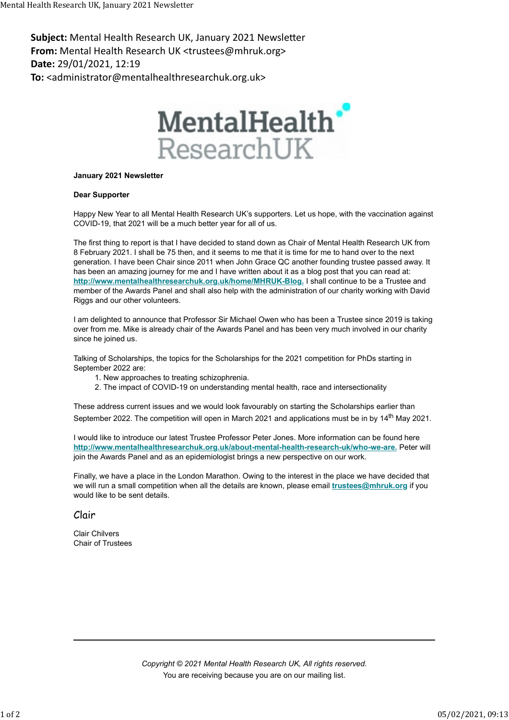Subject: Mental Health Research UK, January 2021 Newsletter From: Mental Health Research UK <trustees@mhruk.org> Date: 29/01/2021, 12:19 To: <administrator@mentalhealthresearchuk.org.uk> Mental Health Research UK, January 2021 Newsletter<br> **Subject:** Mental Health Research UK, January 2021 Newsletter<br> **From:** Mental Health Research UK <trustees@mhruk.org>



## January 2021 Newsletter

## Dear Supporter

Happy New Year to all Mental Health Research UK's supporters. Let us hope, with the vaccination against COVID-19, that 2021 will be a much better year for all of us.

The first thing to report is that I have decided to stand down as Chair of Mental Health Research UK from 8 February 2021. I shall be 75 then, and it seems to me that it is time for me to hand over to the next generation. I have been Chair since 2011 when John Grace QC another founding trustee passed away. It has been an amazing journey for me and I have written about it as a blog post that you can read at: http://www.mentalhealthresearchuk.org.uk/home/MHRUK-Blog. I shall continue to be a Trustee and member of the Awards Panel and shall also help with the administration of our charity working with David Riggs and our other volunteers.

I am delighted to announce that Professor Sir Michael Owen who has been a Trustee since 2019 is taking over from me. Mike is already chair of the Awards Panel and has been very much involved in our charity since he joined us.

Talking of Scholarships, the topics for the Scholarships for the 2021 competition for PhDs starting in September 2022 are:

- 1. New approaches to treating schizophrenia.
- 2. The impact of COVID-19 on understanding mental health, race and intersectionality

These address current issues and we would look favourably on starting the Scholarships earlier than September 2022. The competition will open in March 2021 and applications must be in by 14<sup>th</sup> May 2021.

I would like to introduce our latest Trustee Professor Peter Jones. More information can be found here http://www.mentalhealthresearchuk.org.uk/about-mental-health-research-uk/who-we-are. Peter will join the Awards Panel and as an epidemiologist brings a new perspective on our work.

Finally, we have a place in the London Marathon. Owing to the interest in the place we have decided that we will run a small competition when all the details are known, please email *trustees@mhruk.org* if you would like to be sent details.

## Clair

Clair Chilvers Chair of Trustees